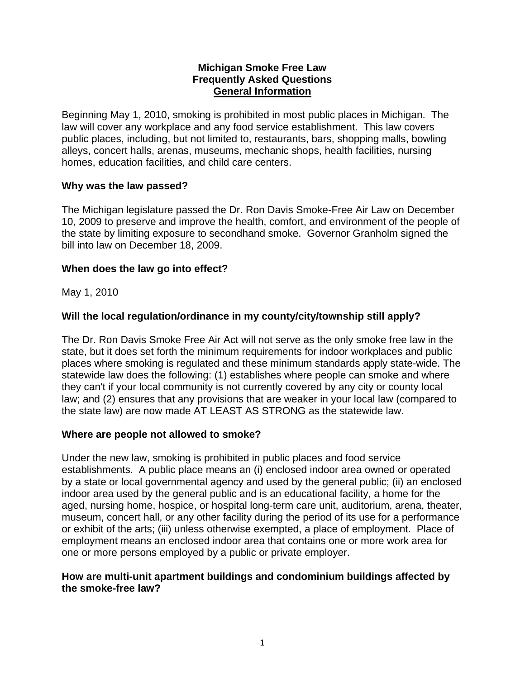#### **Michigan Smoke Free Law Frequently Asked Questions General Information**

Beginning May 1, 2010, smoking is prohibited in most public places in Michigan. The law will cover any workplace and any food service establishment. This law covers public places, including, but not limited to, restaurants, bars, shopping malls, bowling alleys, concert halls, arenas, museums, mechanic shops, health facilities, nursing homes, education facilities, and child care centers.

### **Why was the law passed?**

The Michigan legislature passed the Dr. Ron Davis Smoke-Free Air Law on December 10, 2009 to preserve and improve the health, comfort, and environment of the people of the state by limiting exposure to secondhand smoke. Governor Granholm signed the bill into law on December 18, 2009.

### **When does the law go into effect?**

May 1, 2010

# **Will the local regulation/ordinance in my county/city/township still apply?**

The Dr. Ron Davis Smoke Free Air Act will not serve as the only smoke free law in the state, but it does set forth the minimum requirements for indoor workplaces and public places where smoking is regulated and these minimum standards apply state-wide. The statewide law does the following: (1) establishes where people can smoke and where they can't if your local community is not currently covered by any city or county local law; and (2) ensures that any provisions that are weaker in your local law (compared to the state law) are now made AT LEAST AS STRONG as the statewide law.

### **Where are people not allowed to smoke?**

Under the new law, smoking is prohibited in public places and food service establishments. A public place means an (i) enclosed indoor area owned or operated by a state or local governmental agency and used by the general public; (ii) an enclosed indoor area used by the general public and is an educational facility, a home for the aged, nursing home, hospice, or hospital long-term care unit, auditorium, arena, theater, museum, concert hall, or any other facility during the period of its use for a performance or exhibit of the arts; (iii) unless otherwise exempted, a place of employment. Place of employment means an enclosed indoor area that contains one or more work area for one or more persons employed by a public or private employer.

### **How are multi-unit apartment buildings and condominium buildings affected by the smoke-free law?**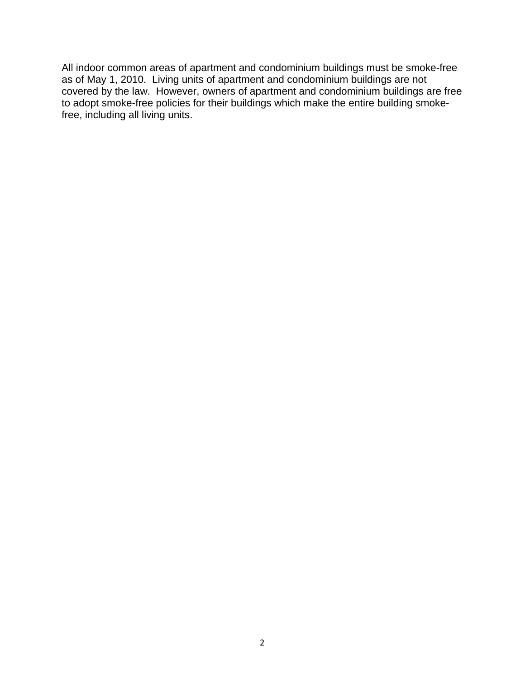All indoor common areas of apartment and condominium buildings must be smoke-free as of May 1, 2010. Living units of apartment and condominium buildings are not covered by the law. However, owners of apartment and condominium buildings are free to adopt smoke-free policies for their buildings which make the entire building smokefree, including all living units.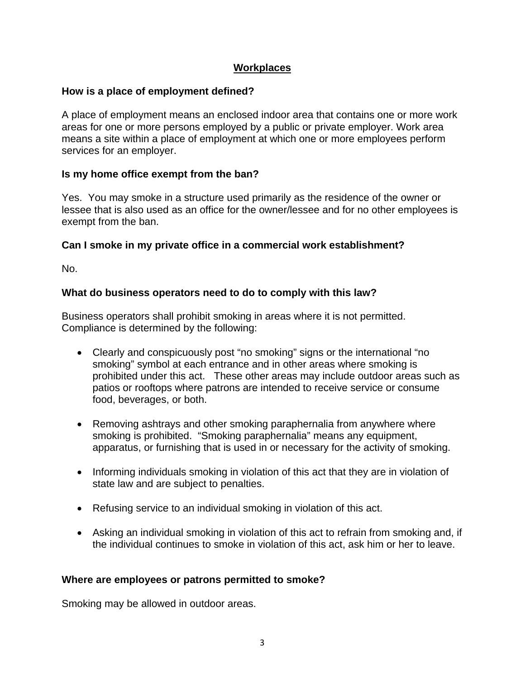# **Workplaces**

# **How is a place of employment defined?**

A place of employment means an enclosed indoor area that contains one or more work areas for one or more persons employed by a public or private employer. Work area means a site within a place of employment at which one or more employees perform services for an employer.

### **Is my home office exempt from the ban?**

Yes. You may smoke in a structure used primarily as the residence of the owner or lessee that is also used as an office for the owner/lessee and for no other employees is exempt from the ban.

### **Can I smoke in my private office in a commercial work establishment?**

No.

### **What do business operators need to do to comply with this law?**

Business operators shall prohibit smoking in areas where it is not permitted. Compliance is determined by the following:

- Clearly and conspicuously post "no smoking" signs or the international "no smoking" symbol at each entrance and in other areas where smoking is prohibited under this act. These other areas may include outdoor areas such as patios or rooftops where patrons are intended to receive service or consume food, beverages, or both.
- Removing ashtrays and other smoking paraphernalia from anywhere where smoking is prohibited. "Smoking paraphernalia" means any equipment, apparatus, or furnishing that is used in or necessary for the activity of smoking.
- Informing individuals smoking in violation of this act that they are in violation of state law and are subject to penalties.
- Refusing service to an individual smoking in violation of this act.
- Asking an individual smoking in violation of this act to refrain from smoking and, if the individual continues to smoke in violation of this act, ask him or her to leave.

### **Where are employees or patrons permitted to smoke?**

Smoking may be allowed in outdoor areas.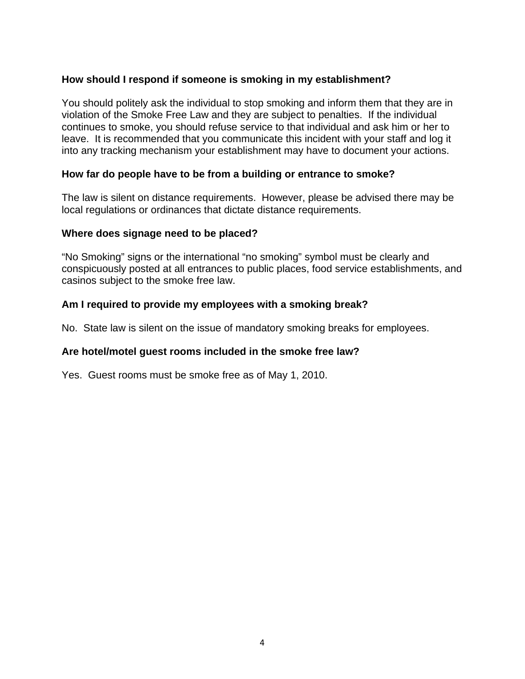### **How should I respond if someone is smoking in my establishment?**

You should politely ask the individual to stop smoking and inform them that they are in violation of the Smoke Free Law and they are subject to penalties. If the individual continues to smoke, you should refuse service to that individual and ask him or her to leave. It is recommended that you communicate this incident with your staff and log it into any tracking mechanism your establishment may have to document your actions.

#### **How far do people have to be from a building or entrance to smoke?**

The law is silent on distance requirements. However, please be advised there may be local regulations or ordinances that dictate distance requirements.

#### **Where does signage need to be placed?**

"No Smoking" signs or the international "no smoking" symbol must be clearly and conspicuously posted at all entrances to public places, food service establishments, and casinos subject to the smoke free law.

#### **Am I required to provide my employees with a smoking break?**

No. State law is silent on the issue of mandatory smoking breaks for employees.

### **Are hotel/motel guest rooms included in the smoke free law?**

Yes. Guest rooms must be smoke free as of May 1, 2010.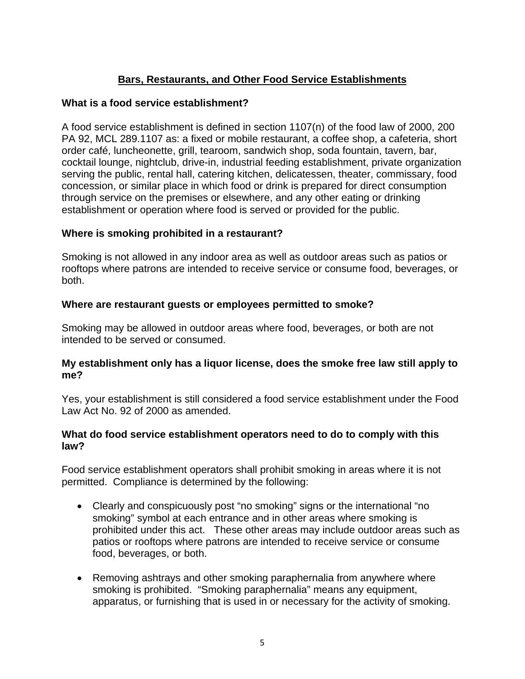# **Bars, Restaurants, and Other Food Service Establishments**

# **What is a food service establishment?**

A food service establishment is defined in section 1107(n) of the food law of 2000, 200 PA 92, MCL 289.1107 as: a fixed or mobile restaurant, a coffee shop, a cafeteria, short order café, luncheonette, grill, tearoom, sandwich shop, soda fountain, tavern, bar, cocktail lounge, nightclub, drive-in, industrial feeding establishment, private organization serving the public, rental hall, catering kitchen, delicatessen, theater, commissary, food concession, or similar place in which food or drink is prepared for direct consumption through service on the premises or elsewhere, and any other eating or drinking establishment or operation where food is served or provided for the public.

# **Where is smoking prohibited in a restaurant?**

Smoking is not allowed in any indoor area as well as outdoor areas such as patios or rooftops where patrons are intended to receive service or consume food, beverages, or both.

# **Where are restaurant guests or employees permitted to smoke?**

Smoking may be allowed in outdoor areas where food, beverages, or both are not intended to be served or consumed.

### **My establishment only has a liquor license, does the smoke free law still apply to me?**

Yes, your establishment is still considered a food service establishment under the Food Law Act No. 92 of 2000 as amended.

### **What do food service establishment operators need to do to comply with this law?**

Food service establishment operators shall prohibit smoking in areas where it is not permitted. Compliance is determined by the following:

- Clearly and conspicuously post "no smoking" signs or the international "no smoking" symbol at each entrance and in other areas where smoking is prohibited under this act. These other areas may include outdoor areas such as patios or rooftops where patrons are intended to receive service or consume food, beverages, or both.
- Removing ashtrays and other smoking paraphernalia from anywhere where smoking is prohibited. "Smoking paraphernalia" means any equipment, apparatus, or furnishing that is used in or necessary for the activity of smoking.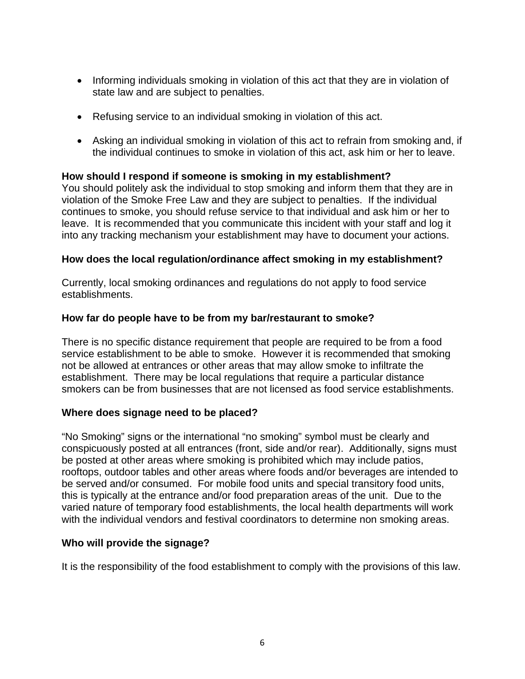- Informing individuals smoking in violation of this act that they are in violation of state law and are subject to penalties.
- Refusing service to an individual smoking in violation of this act.
- Asking an individual smoking in violation of this act to refrain from smoking and, if the individual continues to smoke in violation of this act, ask him or her to leave.

# **How should I respond if someone is smoking in my establishment?**

You should politely ask the individual to stop smoking and inform them that they are in violation of the Smoke Free Law and they are subject to penalties. If the individual continues to smoke, you should refuse service to that individual and ask him or her to leave. It is recommended that you communicate this incident with your staff and log it into any tracking mechanism your establishment may have to document your actions.

### **How does the local regulation/ordinance affect smoking in my establishment?**

Currently, local smoking ordinances and regulations do not apply to food service establishments.

### **How far do people have to be from my bar/restaurant to smoke?**

There is no specific distance requirement that people are required to be from a food service establishment to be able to smoke. However it is recommended that smoking not be allowed at entrances or other areas that may allow smoke to infiltrate the establishment. There may be local regulations that require a particular distance smokers can be from businesses that are not licensed as food service establishments.

### **Where does signage need to be placed?**

"No Smoking" signs or the international "no smoking" symbol must be clearly and conspicuously posted at all entrances (front, side and/or rear). Additionally, signs must be posted at other areas where smoking is prohibited which may include patios, rooftops, outdoor tables and other areas where foods and/or beverages are intended to be served and/or consumed. For mobile food units and special transitory food units, this is typically at the entrance and/or food preparation areas of the unit. Due to the varied nature of temporary food establishments, the local health departments will work with the individual vendors and festival coordinators to determine non smoking areas.

### **Who will provide the signage?**

It is the responsibility of the food establishment to comply with the provisions of this law.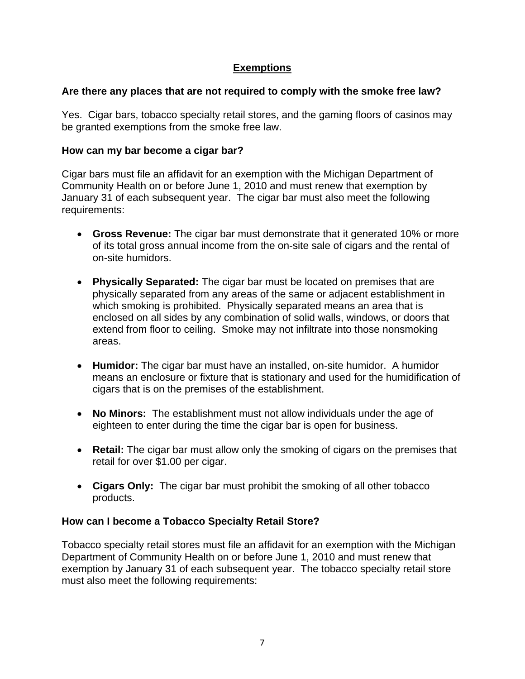# **Exemptions**

# **Are there any places that are not required to comply with the smoke free law?**

Yes. Cigar bars, tobacco specialty retail stores, and the gaming floors of casinos may be granted exemptions from the smoke free law.

### **How can my bar become a cigar bar?**

Cigar bars must file an affidavit for an exemption with the Michigan Department of Community Health on or before June 1, 2010 and must renew that exemption by January 31 of each subsequent year. The cigar bar must also meet the following requirements:

- **Gross Revenue:** The cigar bar must demonstrate that it generated 10% or more of its total gross annual income from the on-site sale of cigars and the rental of on-site humidors.
- **Physically Separated:** The cigar bar must be located on premises that are physically separated from any areas of the same or adjacent establishment in which smoking is prohibited. Physically separated means an area that is enclosed on all sides by any combination of solid walls, windows, or doors that extend from floor to ceiling. Smoke may not infiltrate into those nonsmoking areas.
- **Humidor:** The cigar bar must have an installed, on-site humidor. A humidor means an enclosure or fixture that is stationary and used for the humidification of cigars that is on the premises of the establishment.
- **No Minors:** The establishment must not allow individuals under the age of eighteen to enter during the time the cigar bar is open for business.
- **Retail:** The cigar bar must allow only the smoking of cigars on the premises that retail for over \$1.00 per cigar.
- **Cigars Only:** The cigar bar must prohibit the smoking of all other tobacco products.

# **How can I become a Tobacco Specialty Retail Store?**

Tobacco specialty retail stores must file an affidavit for an exemption with the Michigan Department of Community Health on or before June 1, 2010 and must renew that exemption by January 31 of each subsequent year. The tobacco specialty retail store must also meet the following requirements: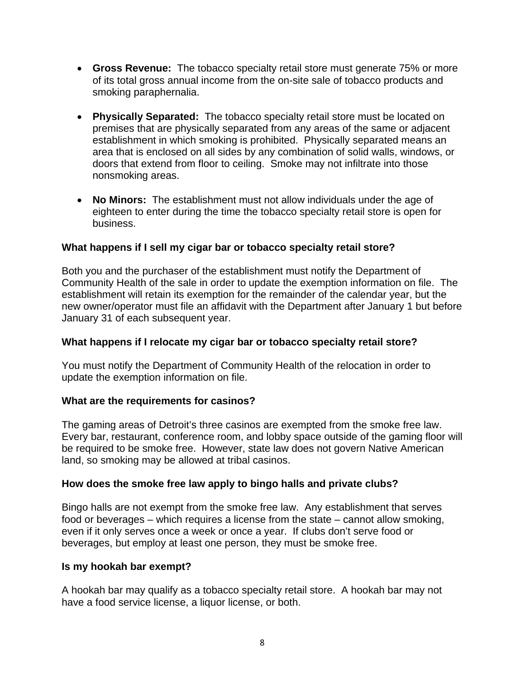- **Gross Revenue:** The tobacco specialty retail store must generate 75% or more of its total gross annual income from the on-site sale of tobacco products and smoking paraphernalia.
- **Physically Separated:** The tobacco specialty retail store must be located on premises that are physically separated from any areas of the same or adjacent establishment in which smoking is prohibited. Physically separated means an area that is enclosed on all sides by any combination of solid walls, windows, or doors that extend from floor to ceiling. Smoke may not infiltrate into those nonsmoking areas.
- **No Minors:** The establishment must not allow individuals under the age of eighteen to enter during the time the tobacco specialty retail store is open for business.

### **What happens if I sell my cigar bar or tobacco specialty retail store?**

Both you and the purchaser of the establishment must notify the Department of Community Health of the sale in order to update the exemption information on file. The establishment will retain its exemption for the remainder of the calendar year, but the new owner/operator must file an affidavit with the Department after January 1 but before January 31 of each subsequent year.

### **What happens if I relocate my cigar bar or tobacco specialty retail store?**

You must notify the Department of Community Health of the relocation in order to update the exemption information on file.

### **What are the requirements for casinos?**

The gaming areas of Detroit's three casinos are exempted from the smoke free law. Every bar, restaurant, conference room, and lobby space outside of the gaming floor will be required to be smoke free. However, state law does not govern Native American land, so smoking may be allowed at tribal casinos.

### **How does the smoke free law apply to bingo halls and private clubs?**

Bingo halls are not exempt from the smoke free law. Any establishment that serves food or beverages – which requires a license from the state – cannot allow smoking, even if it only serves once a week or once a year. If clubs don't serve food or beverages, but employ at least one person, they must be smoke free.

### **Is my hookah bar exempt?**

A hookah bar may qualify as a tobacco specialty retail store. A hookah bar may not have a food service license, a liquor license, or both.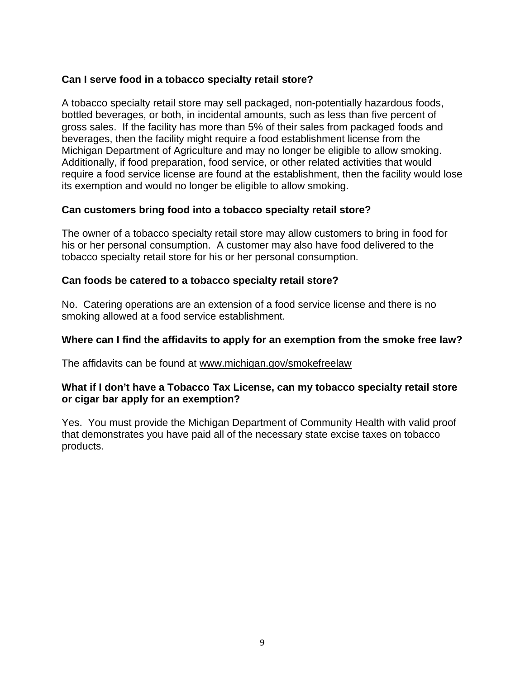### **Can I serve food in a tobacco specialty retail store?**

A tobacco specialty retail store may sell packaged, non-potentially hazardous foods, bottled beverages, or both, in incidental amounts, such as less than five percent of gross sales. If the facility has more than 5% of their sales from packaged foods and beverages, then the facility might require a food establishment license from the Michigan Department of Agriculture and may no longer be eligible to allow smoking. Additionally, if food preparation, food service, or other related activities that would require a food service license are found at the establishment, then the facility would lose its exemption and would no longer be eligible to allow smoking.

### **Can customers bring food into a tobacco specialty retail store?**

The owner of a tobacco specialty retail store may allow customers to bring in food for his or her personal consumption. A customer may also have food delivered to the tobacco specialty retail store for his or her personal consumption.

### **Can foods be catered to a tobacco specialty retail store?**

No. Catering operations are an extension of a food service license and there is no smoking allowed at a food service establishment.

### **Where can I find the affidavits to apply for an exemption from the smoke free law?**

The affidavits can be found at [www.michigan.gov/smokefreelaw](http://www.michigan.gov/smokefreelaw)

### **What if I don't have a Tobacco Tax License, can my tobacco specialty retail store or cigar bar apply for an exemption?**

Yes. You must provide the Michigan Department of Community Health with valid proof that demonstrates you have paid all of the necessary state excise taxes on tobacco products.